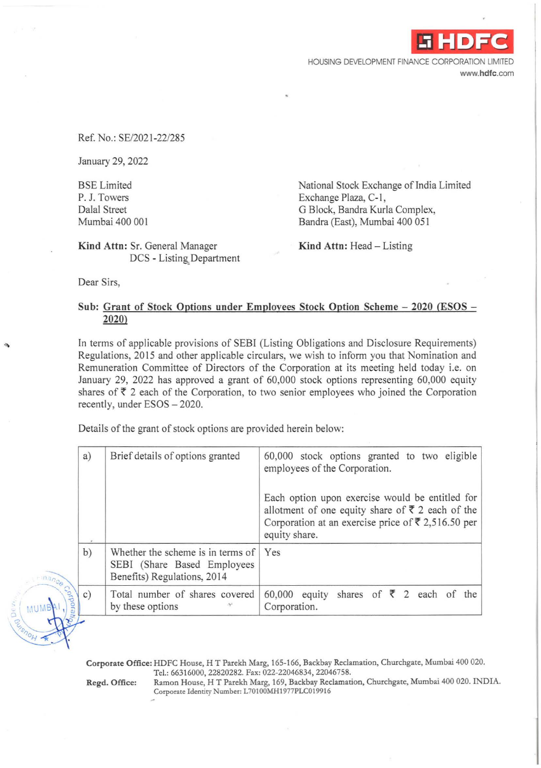**-i HDFC** 

HOUSING DEVELOPMENT FINANCE CORPORATION LIMITED www.hdfc.com

Ref. No.: SE/2021-22/285

January 29, 2022

BSE Limited P. J. Towers Dalal Street Mumbai 400 001

National Stock Exchange of India Limited Exchange Plaza, C-1, G Block, Bandra Kurla Complex, Bandra (East), Mumbai 400 051

Kind Attn: Sr. General Manager DCS - Listing, Department Kind Attn: Head  $-$  Listing

Dear Sirs,

## Sub: Grant of Stock Options under Employees Stock Option Scheme - 2020 (ESOS -2020)

In terms of applicable provisions of SEBI (Listing Obligations and Disclosure Requirements) Regulations, 2015 and other applicable circulars, we wish to inform you that Nomination and Remuneration Committee of Directors of the Corporation at its meeting held today i.e. on January 29, 2022 has approved a grant of 60,000 stock options representing 60,000 equity shares of  $\bar{\tau}$  2 each of the Corporation, to two senior employees who joined the Corporation recently, under ESOS - 2020.

Details of the grant of stock options are provided herein below:

| mance Contract | a) | Brief details of options granted                                                                | 60,000 stock options granted to two eligible<br>employees of the Corporation.                                                                                                             |
|----------------|----|-------------------------------------------------------------------------------------------------|-------------------------------------------------------------------------------------------------------------------------------------------------------------------------------------------|
|                |    |                                                                                                 | Each option upon exercise would be entitled for<br>allotment of one equity share of ₹ 2 each of the<br>Corporation at an exercise price of $\overline{\xi}$ 2,516.50 per<br>equity share. |
|                | b) | Whether the scheme is in terms of<br>SEBI (Share Based Employees<br>Benefits) Regulations, 2014 | Yes                                                                                                                                                                                       |
|                |    | Total number of shares covered<br>by these options                                              | 60,000 equity shares of $\overline{\xi}$ 2 each of the<br>Corporation.                                                                                                                    |

Corporate Office: HDFC House, HT Parekh Marg, 165-166, Backbay Reclamation, Churchgate, Mumbai 400 020. Tel.: 66316000, 22820282. Fax: 022-22046834, 22046758.

Regd. Office: Ramon House, H T Parekh Marg, 169, Backbay Reclamation, Churchgate, Mumbai 400 020. INDIA. Corporate Identity Number: L70100MH1977PLC019916